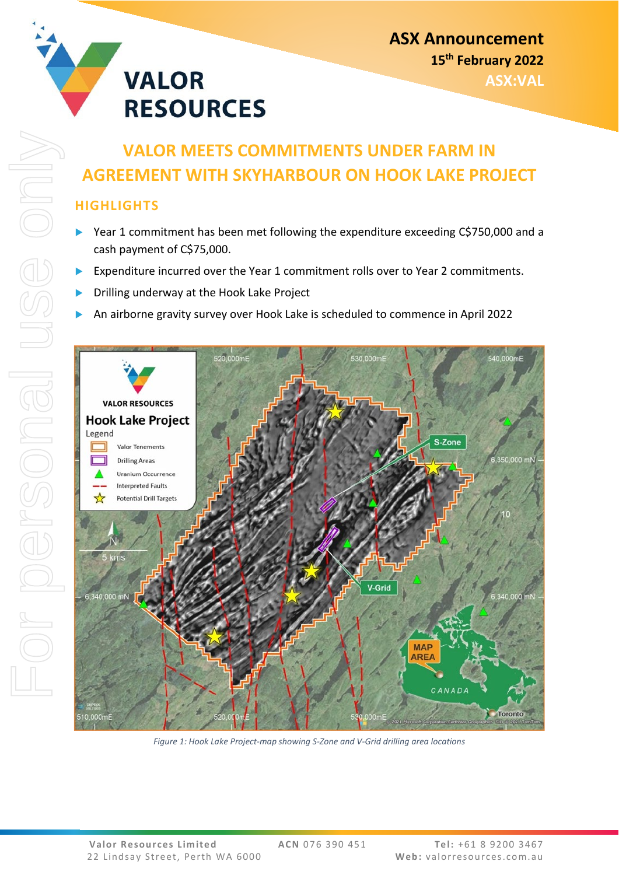

# **VALOR MEETS COMMITMENTS UNDER FARM IN AGREEMENT WITH SKYHARBOUR ON HOOK LAKE PROJECT**

# **HIGHLIGHTS**

- ▶ Year 1 commitment has been met following the expenditure exceeding C\$750,000 and a cash payment of C\$75,000.
- Expenditure incurred over the Year 1 commitment rolls over to Year 2 commitments.
- Drilling underway at the Hook Lake Project
- An airborne gravity survey over Hook Lake is scheduled to commence in April 2022



*Figure 1: Hook Lake Project-map showing S-Zone and V-Grid drilling area locations*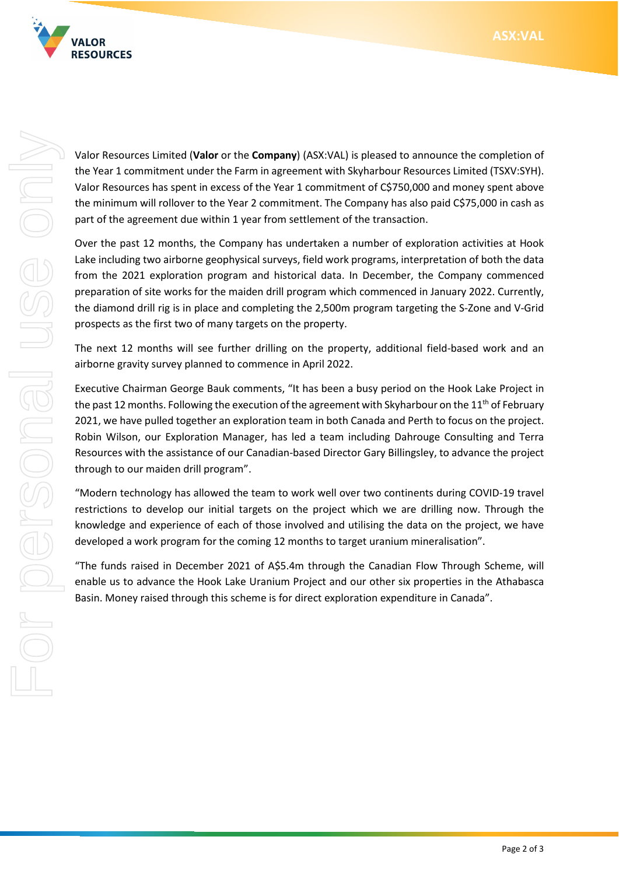



Valor Resources Limited (**Valor** or the **Company**) (ASX:VAL) is pleased to announce the completion of the Year 1 commitment under the Farm in agreement with Skyharbour Resources Limited (TSXV:SYH). Valor Resources has spent in excess of the Year 1 commitment of C\$750,000 and money spent above the minimum will rollover to the Year 2 commitment. The Company has also paid C\$75,000 in cash as part of the agreement due within 1 year from settlement of the transaction.

Over the past 12 months, the Company has undertaken a number of exploration activities at Hook Lake including two airborne geophysical surveys, field work programs, interpretation of both the data from the 2021 exploration program and historical data. In December, the Company commenced preparation of site works for the maiden drill program which commenced in January 2022. Currently, the diamond drill rig is in place and completing the 2,500m program targeting the S-Zone and V-Grid prospects as the first two of many targets on the property.

The next 12 months will see further drilling on the property, additional field-based work and an airborne gravity survey planned to commence in April 2022.

Executive Chairman George Bauk comments, "It has been a busy period on the Hook Lake Project in the past 12 months. Following the execution of the agreement with Skyharbour on the 11<sup>th</sup> of February 2021, we have pulled together an exploration team in both Canada and Perth to focus on the project. Robin Wilson, our Exploration Manager, has led a team including Dahrouge Consulting and Terra Resources with the assistance of our Canadian-based Director Gary Billingsley, to advance the project through to our maiden drill program".

"Modern technology has allowed the team to work well over two continents during COVID-19 travel restrictions to develop our initial targets on the project which we are drilling now. Through the knowledge and experience of each of those involved and utilising the data on the project, we have developed a work program for the coming 12 months to target uranium mineralisation".

"The funds raised in December 2021 of A\$5.4m through the Canadian Flow Through Scheme, will enable us to advance the Hook Lake Uranium Project and our other six properties in the Athabasca Basin. Money raised through this scheme is for direct exploration expenditure in Canada".